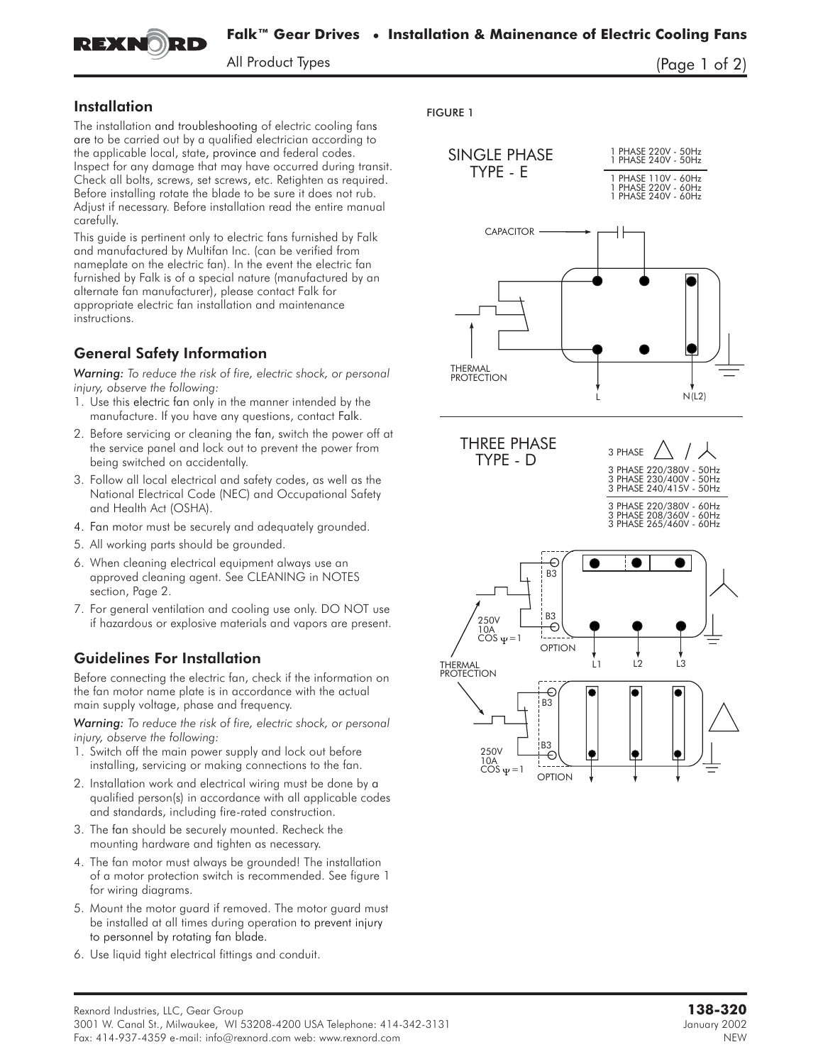

All Product Types (Page 1 of 2)

### Installation

The installation and troubleshooting of electric cooling fans are to be carried out by a qualified electrician according to the applicable local, state, province and federal codes. Inspect for any damage that may have occurred during transit. Check all bolts, screws, set screws, etc. Retighten as required. Before installing rotate the blade to be sure it does not rub. Adjust if necessary. Before installation read the entire manual carefully.

This guide is pertinent only to electric fans furnished by Falk and manufactured by Multifan Inc. (can be verified from nameplate on the electric fan). In the event the electric fan furnished by Falk is of a special nature (manufactured by an alternate fan manufacturer), please contact Falk for appropriate electric fan installation and maintenance instructions.

## General Safety Information

*Warning: To reduce the risk of fire, electric shock, or personal injury, observe the following:*

- 1. Use this electric fan only in the manner intended by the manufacture. If you have any questions, contact Falk.
- 2. Before servicing or cleaning the fan, switch the power off at the service panel and lock out to prevent the power from being switched on accidentally.
- 3. Follow all local electrical and safety codes, as well as the National Electrical Code (NEC) and Occupational Safety and Health Act (OSHA).
- 4. Fan motor must be securely and adequately grounded.
- 5. All working parts should be grounded.
- 6. When cleaning electrical equipment always use an approved cleaning agent. See CLEANING in NOTES section, Page 2.
- 7. For general ventilation and cooling use only. **DO NOT** use if hazardous or explosive materials and vapors are present.

# Guidelines For Installation

Before connecting the electric fan, check if the information on the fan motor name plate is in accordance with the actual main supply voltage, phase and frequency.

*Warning: To reduce the risk of fire, electric shock, or personal injury, observe the following:*

- 1. Switch off the main power supply and lock out before installing, servicing or making connections to the fan.
- 2. Installation work and electrical wiring must be done by a qualified person(s) in accordance with all applicable codes and standards, including fire-rated construction.
- 3. The fan should be securely mounted. Recheck the mounting hardware and tighten as necessary.
- 4. The fan motor must always be grounded! The installation of a motor protection switch is recommended. See figure 1 for wiring diagrams.
- 5. Mount the motor guard if removed. The motor guard must be installed at all times during operation to prevent injury to personnel by rotating fan blade.
- 6. Use liquid tight electrical fittings and conduit.

FIGURE 1